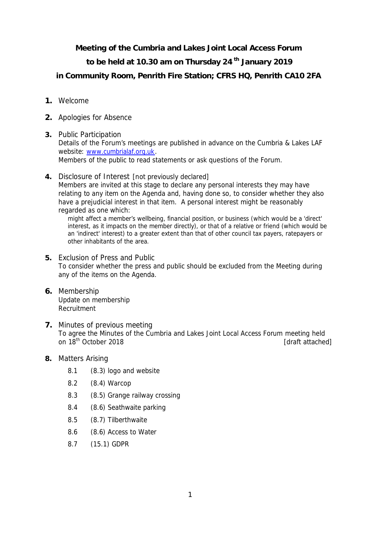**Meeting of the Cumbria and Lakes Joint Local Access Forum**

**to be held at 10.30 am on Thursday 24 th January 2019**

**in Community Room, Penrith Fire Station; CFRS HQ, Penrith CA10 2FA**

- **1.** Welcome
- **2.** Apologies for Absence
- **3.** Public Participation Details of the Forum's meetings are published in advance on the Cumbria & Lakes LAF website: www.cumbrialaf.org.uk. Members of the public to read statements or ask questions of the Forum.
- **4.** Disclosure of Interest [not previously declared] Members are invited at this stage to declare any personal interests they may have relating to any item on the Agenda and, having done so, to consider whether they also have a prejudicial interest in that item. A personal interest might be reasonably regarded as one which:

might affect a member's wellbeing, financial position, or business (which would be a 'direct' interest, as it impacts on the member directly), or that of a relative or friend (which would be an 'indirect' interest) to a greater extent than that of other council tax payers, ratepayers or other inhabitants of the area.

- **5.** Exclusion of Press and Public To consider whether the press and public should be excluded from the Meeting during any of the items on the Agenda.
- **6.** Membership Update on membership Recruitment
- **7.** Minutes of previous meeting To agree the Minutes of the Cumbria and Lakes Joint Local Access Forum meeting held on 18<sup>th</sup> October 2018 **and 2018 contract attached** attached
- **8.** Matters Arising
	- 8.1 (8.3) logo and website
	- 8.2 (8.4) Warcop
	- 8.3 (8.5) Grange railway crossing
	- 8.4 (8.6) Seathwaite parking
	- 8.5 (8.7) Tilberthwaite
	- 8.6 (8.6) Access to Water
	- 8.7 (15.1) GDPR